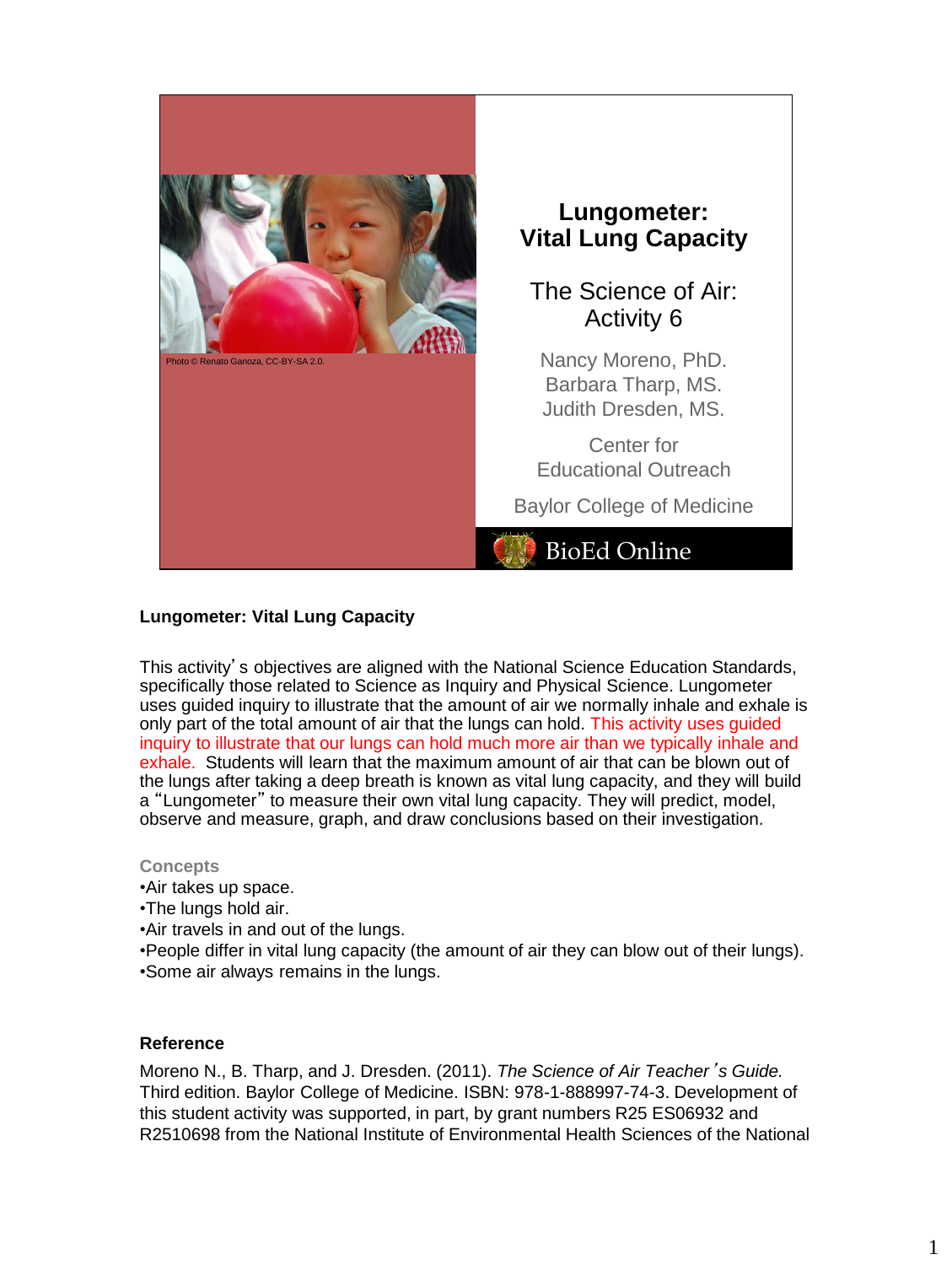

Photo © Renato Ganoza, CC-BY-SA 2.0.

# **Lungometer: Vital Lung Capacity**

The Science of Air: Activity 6

Nancy Moreno, PhD. Barbara Tharp, MS. Judith Dresden, MS.

Center for Educational Outreach

Baylor College of Medicine

# BioEd Online

# **Lungometer: Vital Lung Capacity**

This activity's objectives are aligned with the National Science Education Standards, specifically those related to Science as Inquiry and Physical Science. Lungometer uses guided inquiry to illustrate that the amount of air we normally inhale and exhale is only part of the total amount of air that the lungs can hold. This activity uses guided inquiry to illustrate that our lungs can hold much more air than we typically inhale and exhale. Students will learn that the maximum amount of air that can be blown out of the lungs after taking a deep breath is known as vital lung capacity, and they will build a "Lungometer" to measure their own vital lung capacity. They will predict, model, observe and measure, graph, and draw conclusions based on their investigation.

#### **Concepts**

- •Air takes up space.
- •The lungs hold air.
- •Air travels in and out of the lungs.
- •People differ in vital lung capacity (the amount of air they can blow out of their lungs). •Some air always remains in the lungs.

#### **Reference**

Moreno N., B. Tharp, and J. Dresden. (2011). *The Science of Air Teacher*'*s Guide.* Third edition. Baylor College of Medicine. ISBN: 978-1-888997-74-3. Development of this student activity was supported, in part, by grant numbers R25 ES06932 and R2510698 from the National Institute of Environmental Health Sciences of the National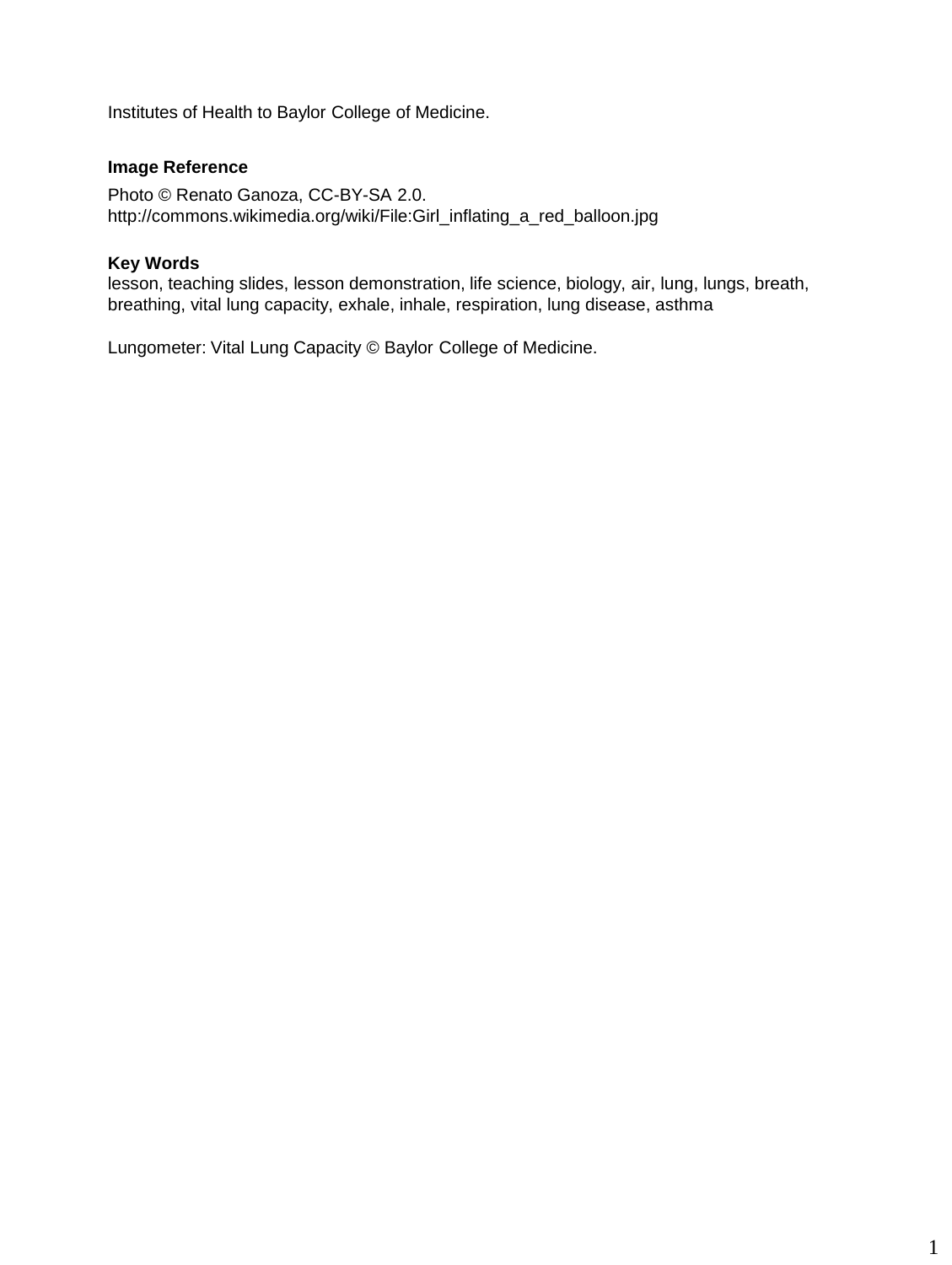Institutes of Health to Baylor College of Medicine.

# **Image Reference**

Photo © Renato Ganoza, CC-BY-SA 2.0. http://commons.wikimedia.org/wiki/File:Girl\_inflating\_a\_red\_balloon.jpg

# **Key Words**

lesson, teaching slides, lesson demonstration, life science, biology, air, lung, lungs, breath, breathing, vital lung capacity, exhale, inhale, respiration, lung disease, asthma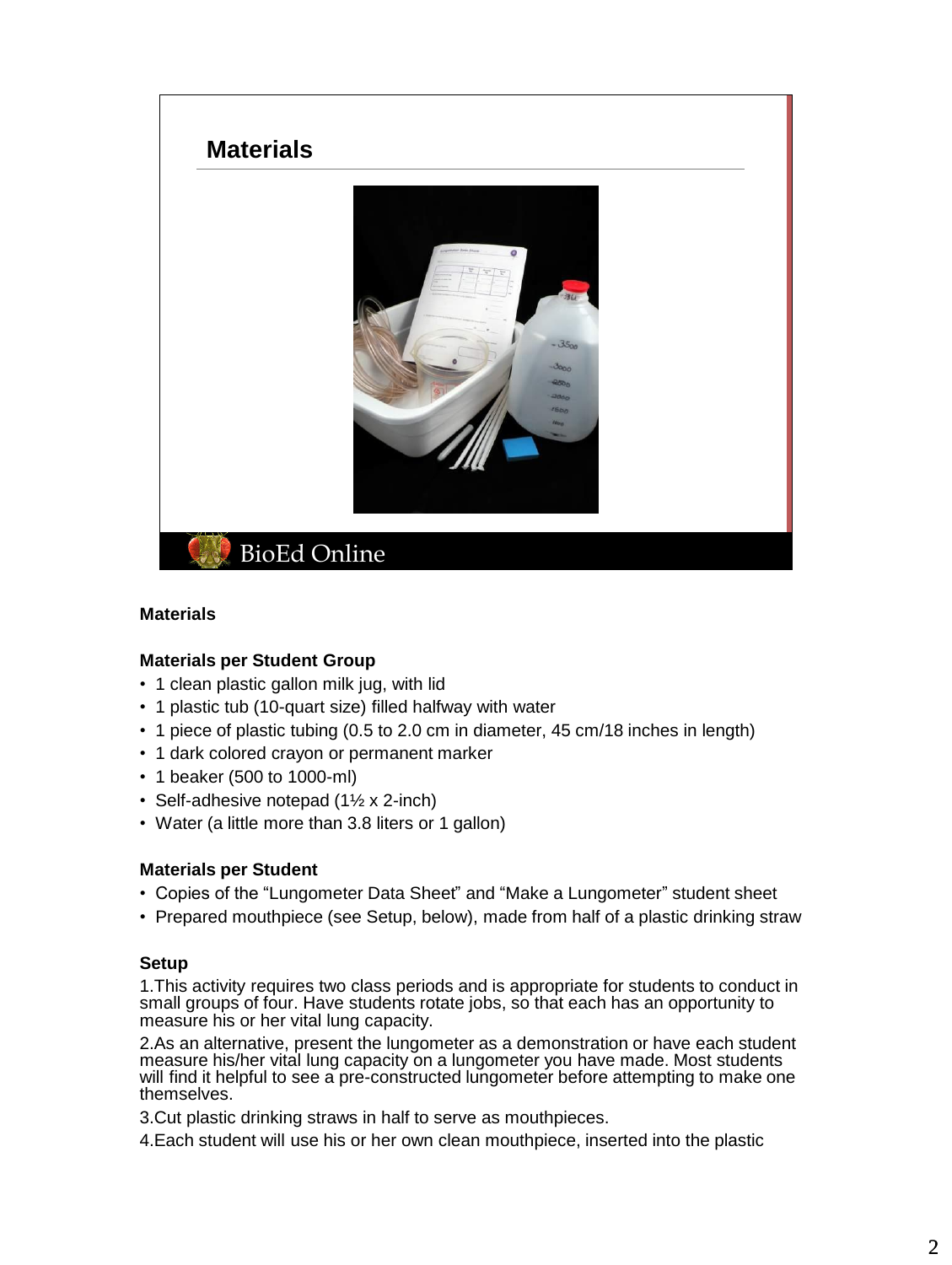

## **Materials**

#### **Materials per Student Group**

- 1 clean plastic gallon milk jug, with lid
- 1 plastic tub (10-quart size) filled halfway with water
- 1 piece of plastic tubing (0.5 to 2.0 cm in diameter, 45 cm/18 inches in length)
- 1 dark colored crayon or permanent marker
- 1 beaker (500 to 1000-ml)
- Self-adhesive notepad (1½ x 2-inch)
- Water (a little more than 3.8 liters or 1 gallon)

#### **Materials per Student**

- Copies of the "Lungometer Data Sheet" and "Make a Lungometer" student sheet
- Prepared mouthpiece (see Setup, below), made from half of a plastic drinking straw

#### **Setup**

1.This activity requires two class periods and is appropriate for students to conduct in small groups of four. Have students rotate jobs, so that each has an opportunity to measure his or her vital lung capacity.

2.As an alternative, present the lungometer as a demonstration or have each student measure his/her vital lung capacity on a lungometer you have made. Most students will find it helpful to see a pre-constructed lungometer before attempting to make one themselves.

3.Cut plastic drinking straws in half to serve as mouthpieces.

4.Each student will use his or her own clean mouthpiece, inserted into the plastic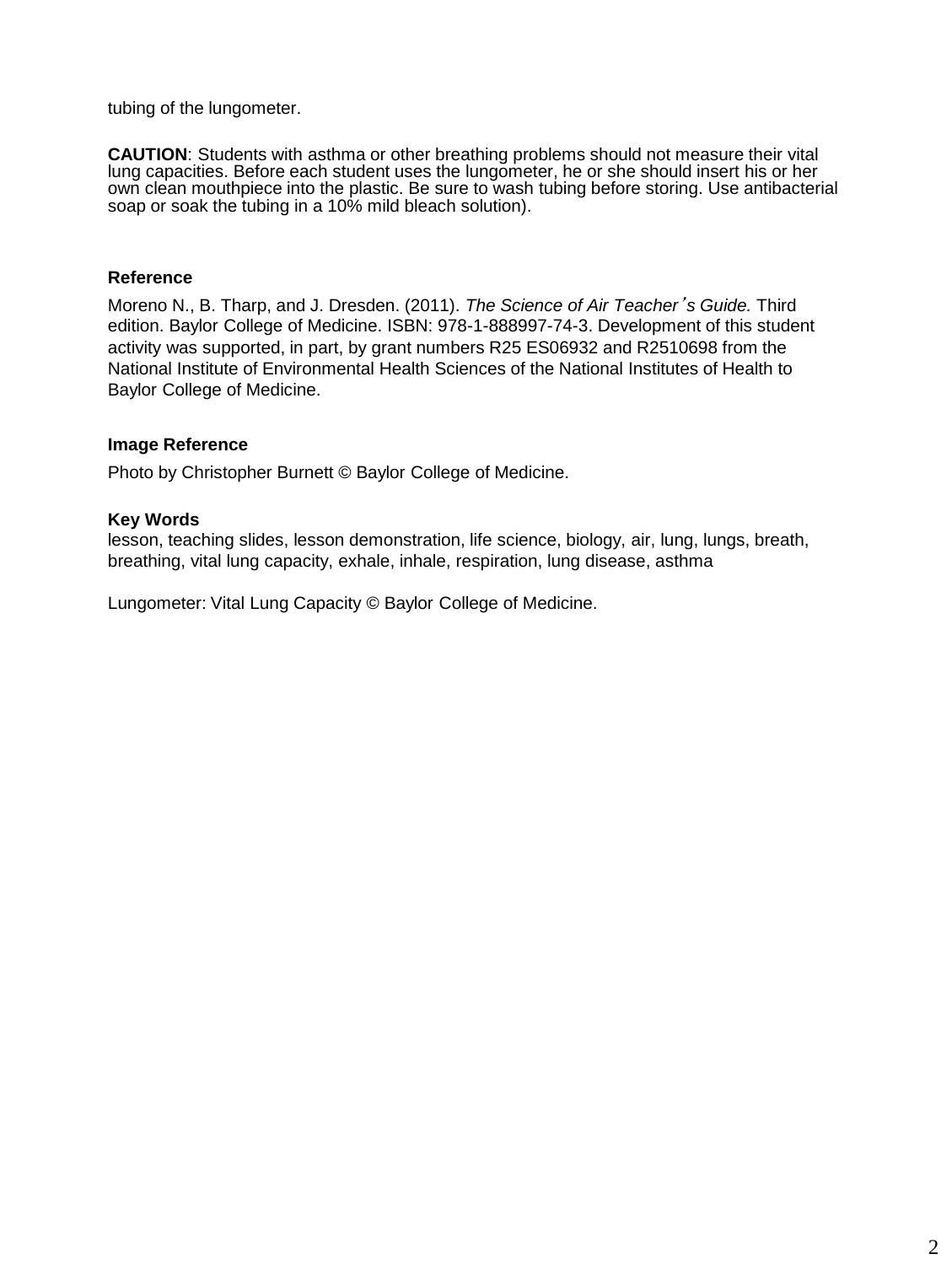tubing of the lungometer.

**CAUTION**: Students with asthma or other breathing problems should not measure their vital lung capacities. Before each student uses the lungometer, he or she should insert his or her own clean mouthpiece into the plastic. Be sure to wash tubing before storing. Use antibacterial soap or soak the tubing in a 10% mild bleach solution).

## **Reference**

Moreno N., B. Tharp, and J. Dresden. (2011). *The Science of Air Teacher*'*s Guide.* Third edition. Baylor College of Medicine. ISBN: 978-1-888997-74-3. Development of this student activity was supported, in part, by grant numbers R25 ES06932 and R2510698 from the National Institute of Environmental Health Sciences of the National Institutes of Health to Baylor College of Medicine.

## **Image Reference**

Photo by Christopher Burnett © Baylor College of Medicine.

# **Key Words**

lesson, teaching slides, lesson demonstration, life science, biology, air, lung, lungs, breath, breathing, vital lung capacity, exhale, inhale, respiration, lung disease, asthma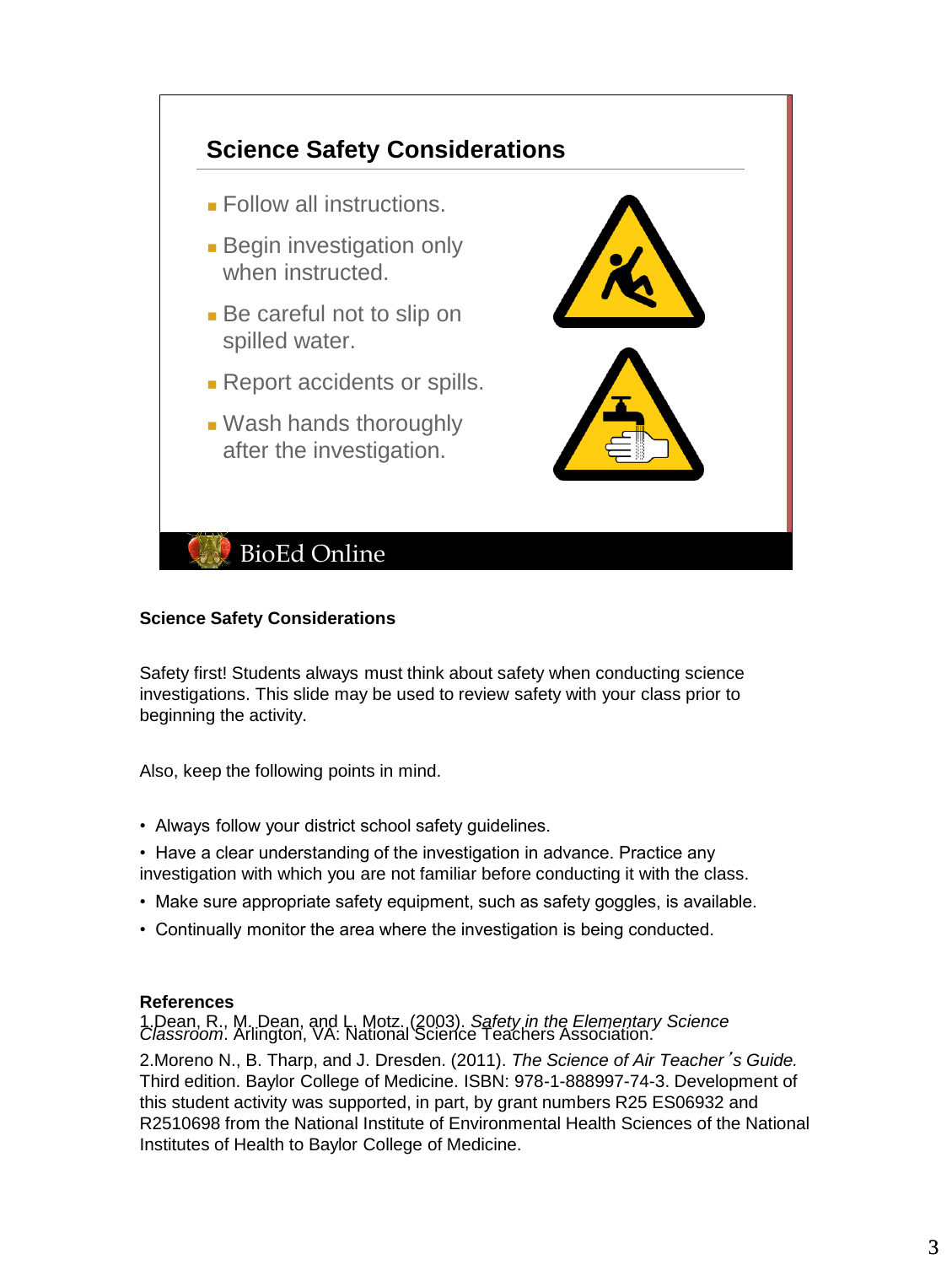

# **Science Safety Considerations**

Safety first! Students always must think about safety when conducting science investigations. This slide may be used to review safety with your class prior to beginning the activity.

Also, keep the following points in mind.

- Always follow your district school safety guidelines.
- Have a clear understanding of the investigation in advance. Practice any investigation with which you are not familiar before conducting it with the class.
- Make sure appropriate safety equipment, such as safety goggles, is available.
- Continually monitor the area where the investigation is being conducted.

# **References**

1.Dean, R., M. Dean, and L. Motz. (2003). *Safety in the Elementary Science Classroom*. Arlington, VA: National Science Teachers Association.

2.Moreno N., B. Tharp, and J. Dresden. (2011). *The Science of Air Teacher*'*s Guide.* Third edition. Baylor College of Medicine. ISBN: 978-1-888997-74-3. Development of this student activity was supported, in part, by grant numbers R25 ES06932 and R2510698 from the National Institute of Environmental Health Sciences of the National Institutes of Health to Baylor College of Medicine.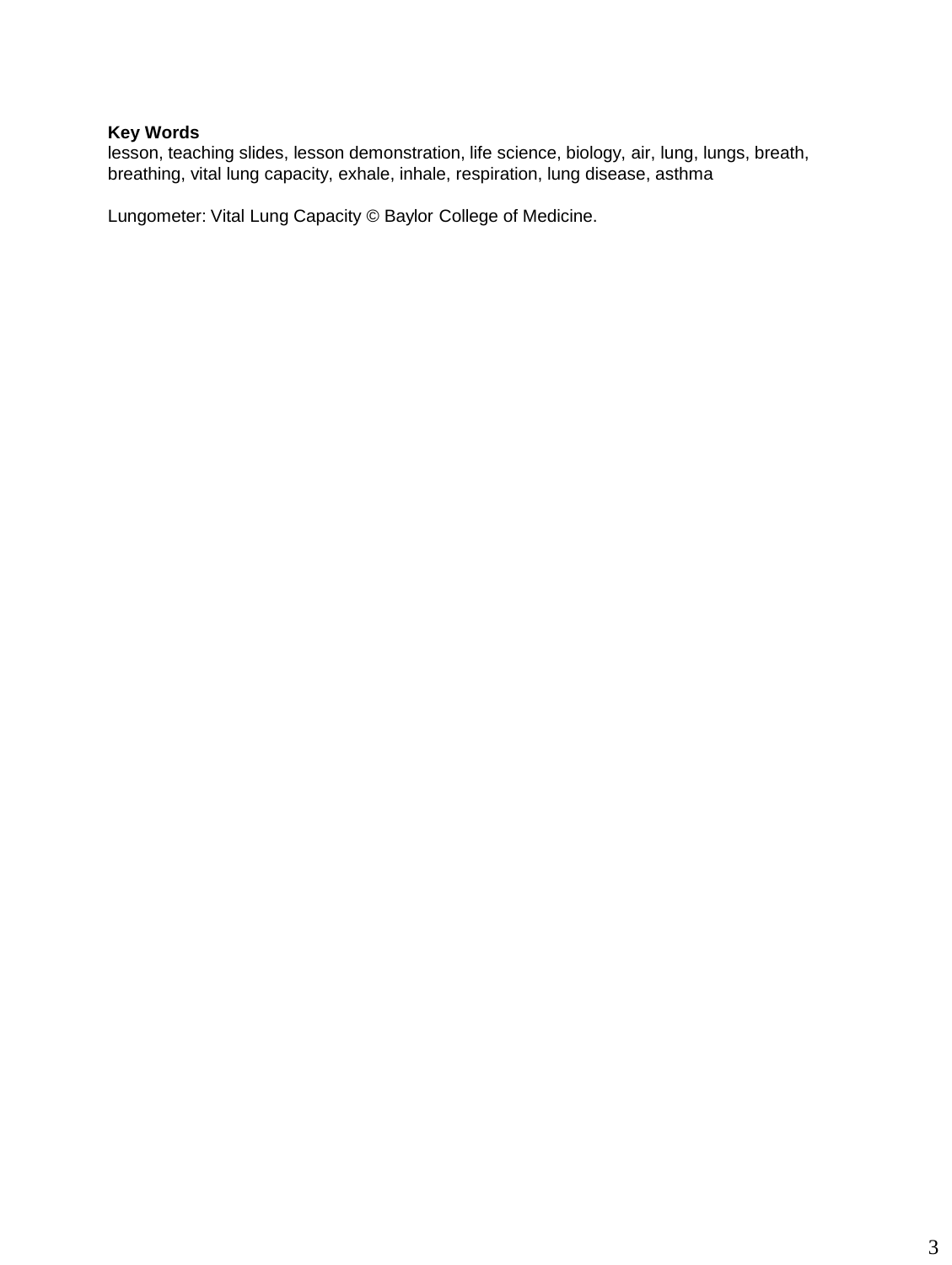# **Key Words**

lesson, teaching slides, lesson demonstration, life science, biology, air, lung, lungs, breath, breathing, vital lung capacity, exhale, inhale, respiration, lung disease, asthma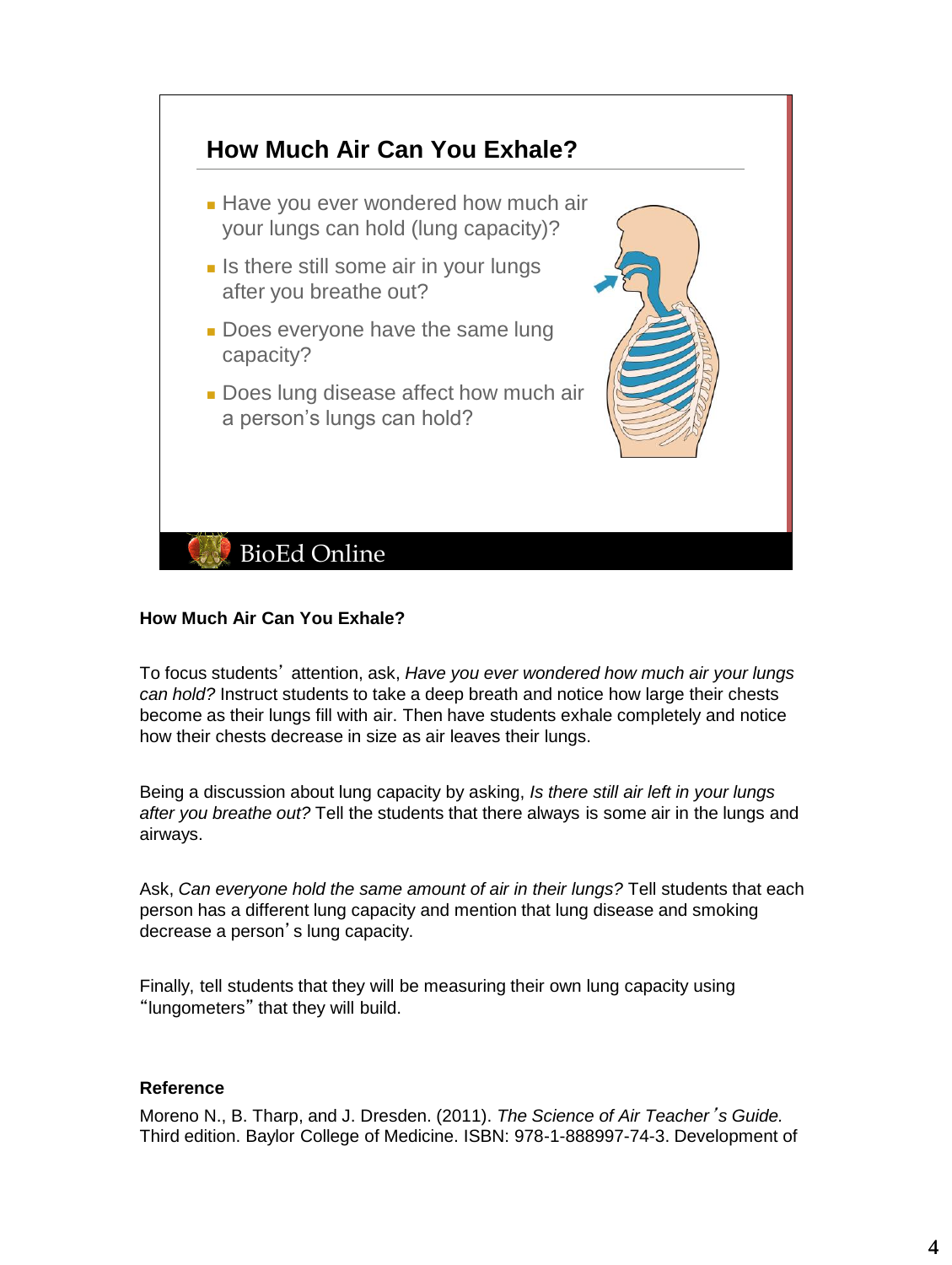

## **How Much Air Can You Exhale?**

To focus students' attention, ask, *Have you ever wondered how much air your lungs can hold?* Instruct students to take a deep breath and notice how large their chests become as their lungs fill with air. Then have students exhale completely and notice how their chests decrease in size as air leaves their lungs.

Being a discussion about lung capacity by asking, *Is there still air left in your lungs after you breathe out?* Tell the students that there always is some air in the lungs and airways.

Ask, *Can everyone hold the same amount of air in their lungs?* Tell students that each person has a different lung capacity and mention that lung disease and smoking decrease a person's lung capacity.

Finally, tell students that they will be measuring their own lung capacity using "lungometers" that they will build.

#### **Reference**

Moreno N., B. Tharp, and J. Dresden. (2011). *The Science of Air Teacher*'*s Guide.* Third edition. Baylor College of Medicine. ISBN: 978-1-888997-74-3. Development of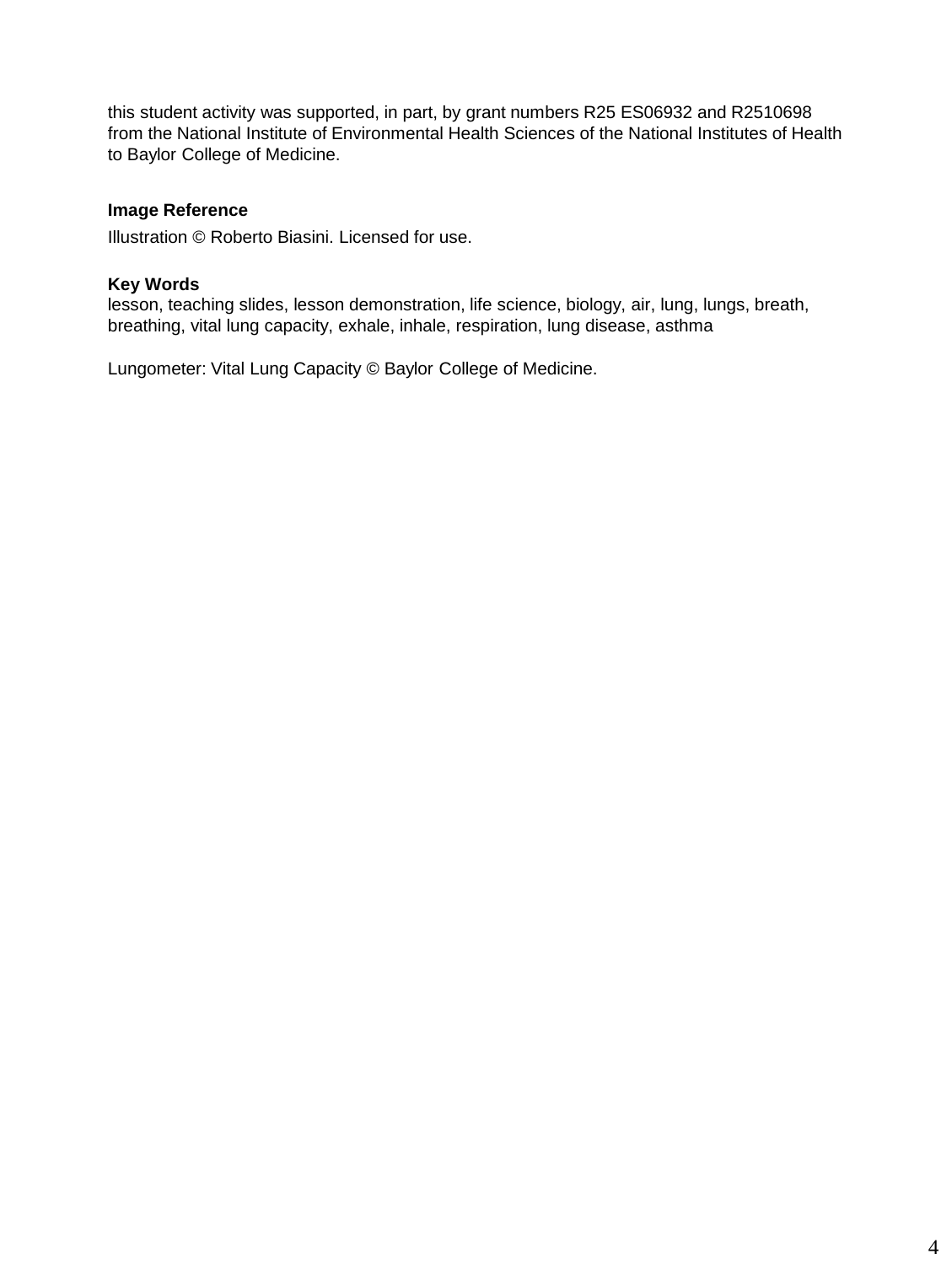this student activity was supported, in part, by grant numbers R25 ES06932 and R2510698 from the National Institute of Environmental Health Sciences of the National Institutes of Health to Baylor College of Medicine.

# **Image Reference**

Illustration © Roberto Biasini. Licensed for use.

### **Key Words**

lesson, teaching slides, lesson demonstration, life science, biology, air, lung, lungs, breath, breathing, vital lung capacity, exhale, inhale, respiration, lung disease, asthma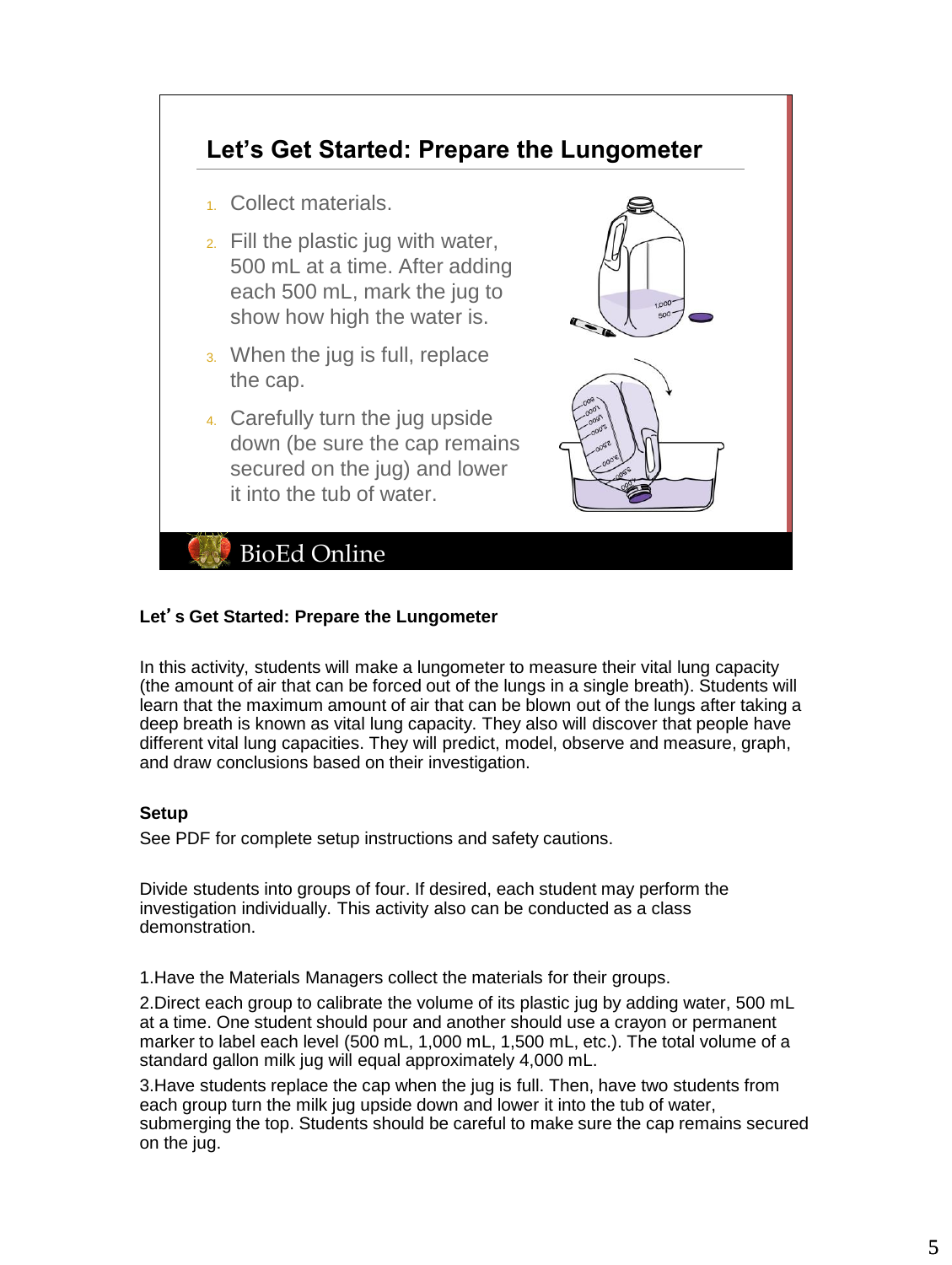

# **Let**'**s Get Started: Prepare the Lungometer**

In this activity, students will make a lungometer to measure their vital lung capacity (the amount of air that can be forced out of the lungs in a single breath). Students will learn that the maximum amount of air that can be blown out of the lungs after taking a deep breath is known as vital lung capacity. They also will discover that people have different vital lung capacities. They will predict, model, observe and measure, graph, and draw conclusions based on their investigation.

## **Setup**

See PDF for complete setup instructions and safety cautions.

Divide students into groups of four. If desired, each student may perform the investigation individually. This activity also can be conducted as a class demonstration.

1.Have the Materials Managers collect the materials for their groups.

2.Direct each group to calibrate the volume of its plastic jug by adding water, 500 mL at a time. One student should pour and another should use a crayon or permanent marker to label each level (500 mL, 1,000 mL, 1,500 mL, etc.). The total volume of a standard gallon milk jug will equal approximately 4,000 mL.

3.Have students replace the cap when the jug is full. Then, have two students from each group turn the milk jug upside down and lower it into the tub of water, submerging the top. Students should be careful to make sure the cap remains secured on the jug.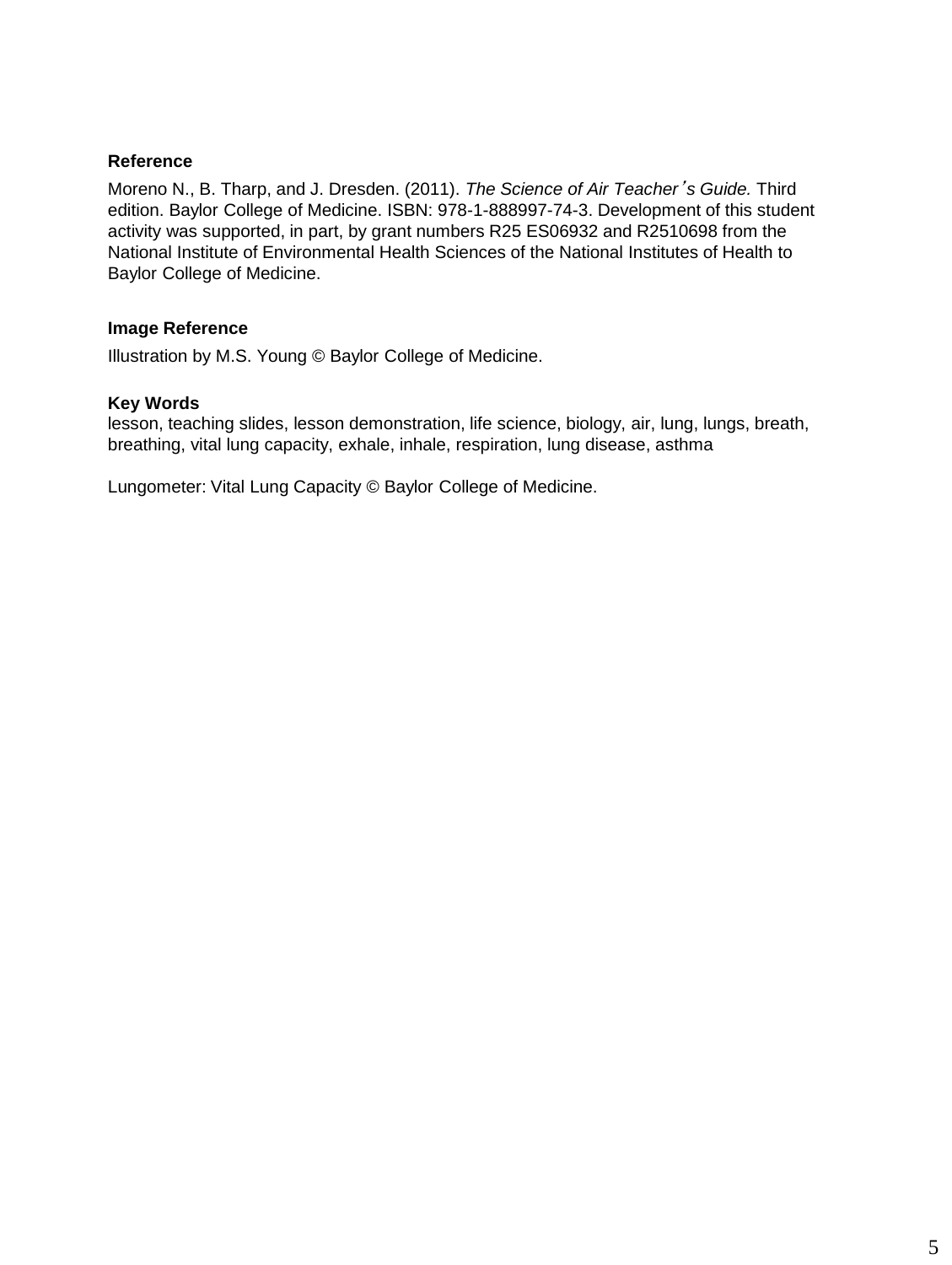## **Reference**

Moreno N., B. Tharp, and J. Dresden. (2011). *The Science of Air Teacher*'*s Guide.* Third edition. Baylor College of Medicine. ISBN: 978-1-888997-74-3. Development of this student activity was supported, in part, by grant numbers R25 ES06932 and R2510698 from the National Institute of Environmental Health Sciences of the National Institutes of Health to Baylor College of Medicine.

# **Image Reference**

Illustration by M.S. Young © Baylor College of Medicine.

#### **Key Words**

lesson, teaching slides, lesson demonstration, life science, biology, air, lung, lungs, breath, breathing, vital lung capacity, exhale, inhale, respiration, lung disease, asthma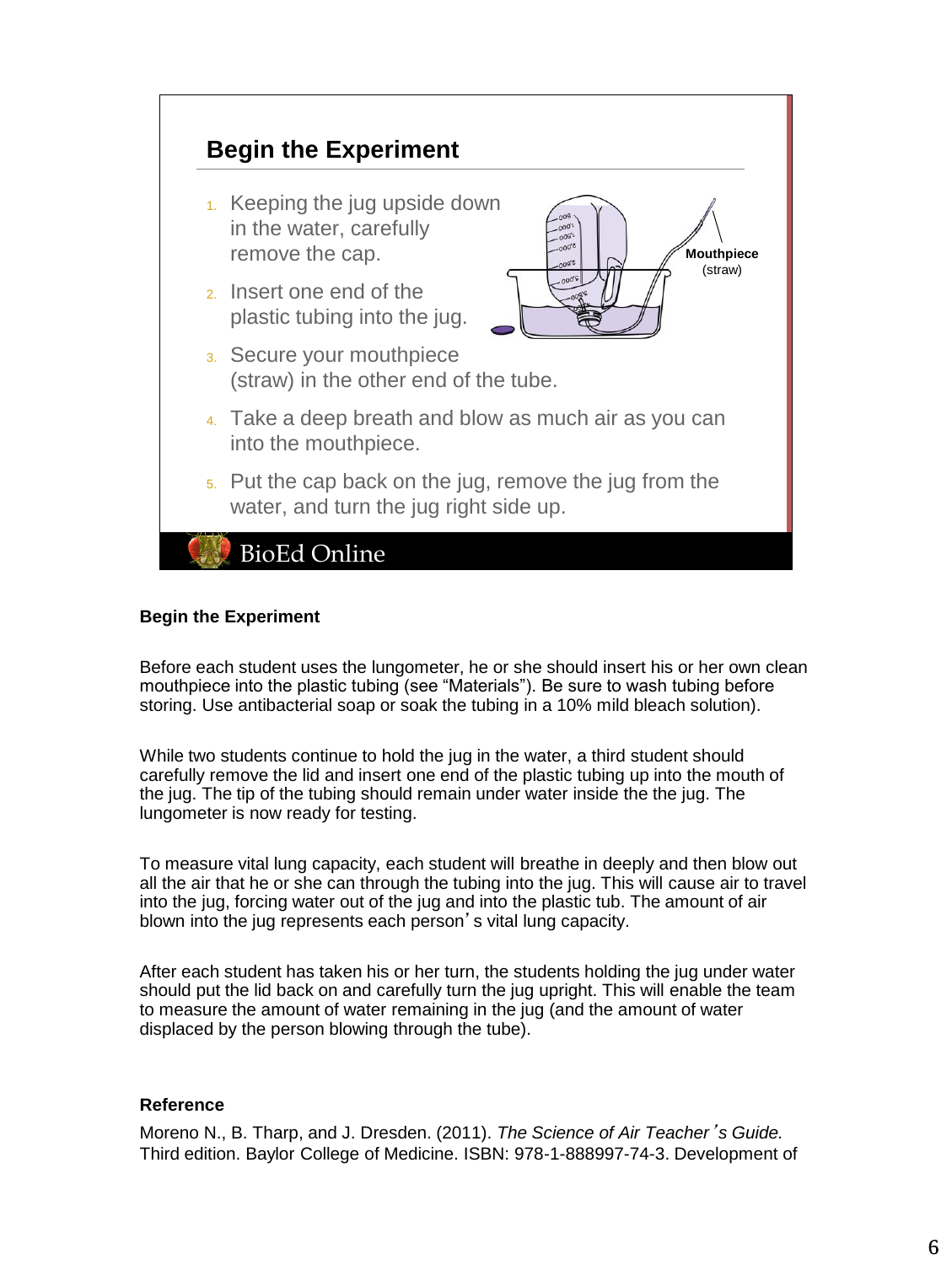

### **Begin the Experiment**

Before each student uses the lungometer, he or she should insert his or her own clean mouthpiece into the plastic tubing (see "Materials"). Be sure to wash tubing before storing. Use antibacterial soap or soak the tubing in a 10% mild bleach solution).

While two students continue to hold the jug in the water, a third student should carefully remove the lid and insert one end of the plastic tubing up into the mouth of the jug. The tip of the tubing should remain under water inside the the jug. The lungometer is now ready for testing.

To measure vital lung capacity, each student will breathe in deeply and then blow out all the air that he or she can through the tubing into the jug. This will cause air to travel into the jug, forcing water out of the jug and into the plastic tub. The amount of air blown into the jug represents each person's vital lung capacity.

After each student has taken his or her turn, the students holding the jug under water should put the lid back on and carefully turn the jug upright. This will enable the team to measure the amount of water remaining in the jug (and the amount of water displaced by the person blowing through the tube).

#### **Reference**

Moreno N., B. Tharp, and J. Dresden. (2011). *The Science of Air Teacher*'*s Guide.* Third edition. Baylor College of Medicine. ISBN: 978-1-888997-74-3. Development of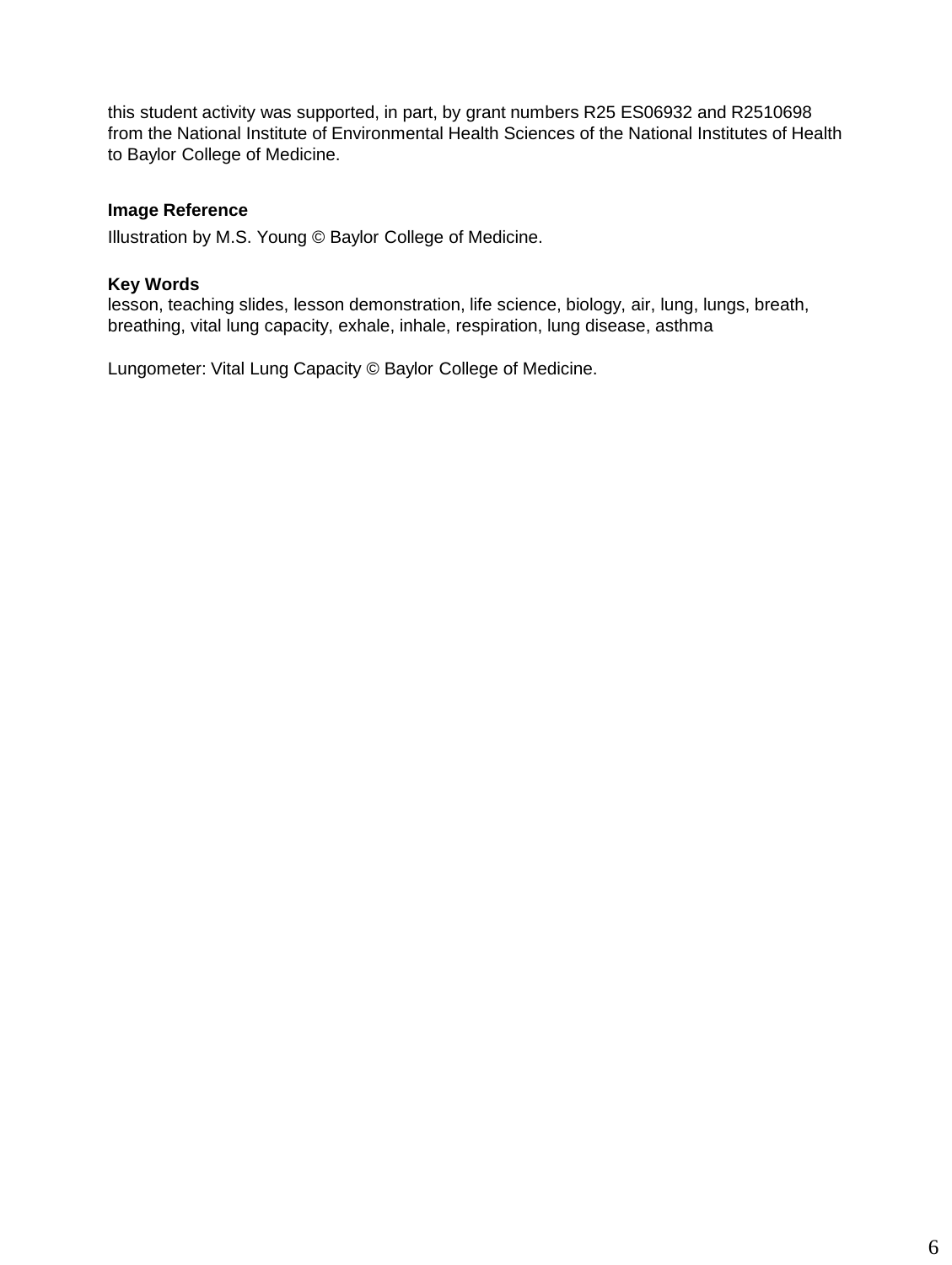this student activity was supported, in part, by grant numbers R25 ES06932 and R2510698 from the National Institute of Environmental Health Sciences of the National Institutes of Health to Baylor College of Medicine.

## **Image Reference**

Illustration by M.S. Young © Baylor College of Medicine.

# **Key Words**

lesson, teaching slides, lesson demonstration, life science, biology, air, lung, lungs, breath, breathing, vital lung capacity, exhale, inhale, respiration, lung disease, asthma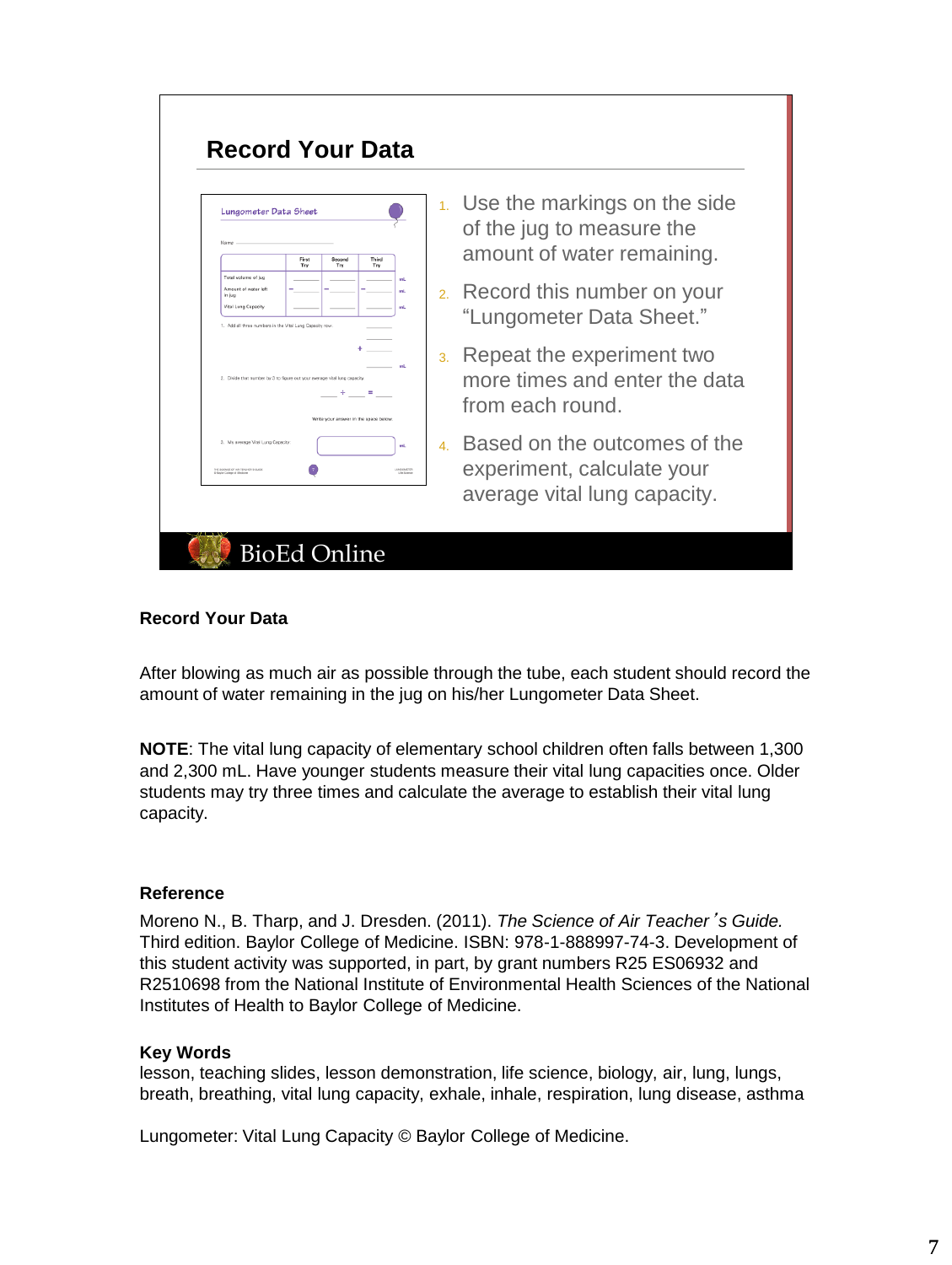| Lungometer Data Sheet<br>Name<br>First<br>Second<br>Third<br>Try<br>Try<br>Try                                                                            |                | 1. Use the markings on the side<br>of the jug to measure the<br>amount of water remaining. |
|-----------------------------------------------------------------------------------------------------------------------------------------------------------|----------------|--------------------------------------------------------------------------------------------|
| Total volume of jug<br>mt<br>Amount of water left<br>mt<br>in iug<br>Vital Lung Capacity<br>mt<br>1. Add all three numbers in the Vital Lung Capacity row |                | 2. Record this number on your<br>"Lungometer Data Sheet."                                  |
| <b>AND</b><br>2. Divide that number by 3 to figure out your average vital lung capacity<br>$\equiv$<br>Write your answer in the space below               | 3.             | Repeat the experiment two<br>more times and enter the data<br>from each round.             |
| 3. My average Vital Lung Capacity:<br>mL<br>THE SCRIMISE OF AIR TERCHER'S GUID<br>LUNGCINE TER                                                            | $\overline{4}$ | Based on the outcomes of the<br>experiment, calculate your<br>average vital lung capacity. |

П

## **Record Your Data**

After blowing as much air as possible through the tube, each student should record the amount of water remaining in the jug on his/her Lungometer Data Sheet.

**NOTE**: The vital lung capacity of elementary school children often falls between 1,300 and 2,300 mL. Have younger students measure their vital lung capacities once. Older students may try three times and calculate the average to establish their vital lung capacity.

## **Reference**

Moreno N., B. Tharp, and J. Dresden. (2011). *The Science of Air Teacher*'*s Guide.* Third edition. Baylor College of Medicine. ISBN: 978-1-888997-74-3. Development of this student activity was supported, in part, by grant numbers R25 ES06932 and R2510698 from the National Institute of Environmental Health Sciences of the National Institutes of Health to Baylor College of Medicine.

#### **Key Words**

lesson, teaching slides, lesson demonstration, life science, biology, air, lung, lungs, breath, breathing, vital lung capacity, exhale, inhale, respiration, lung disease, asthma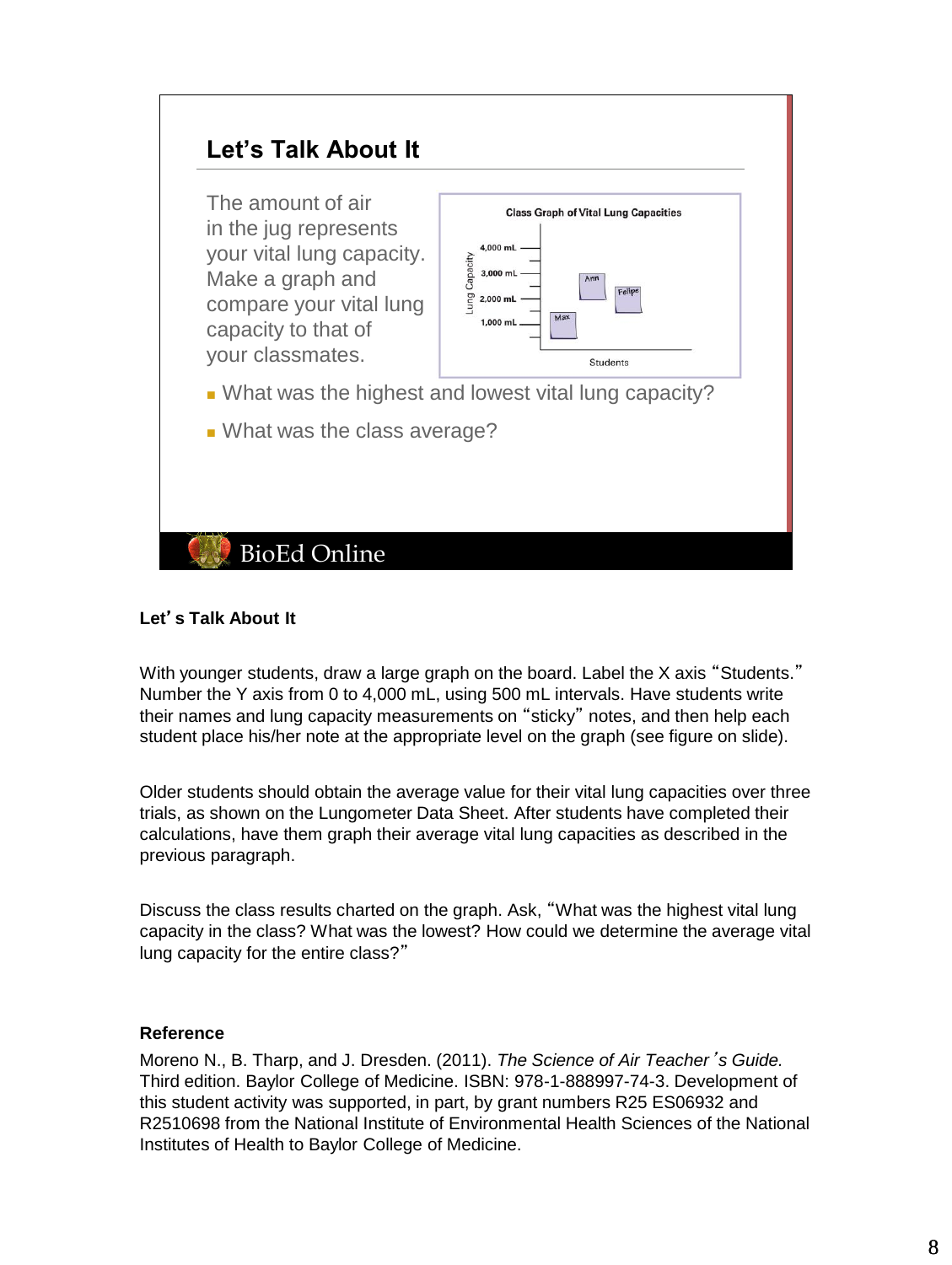

# **Let**'**s Talk About It**

With younger students, draw a large graph on the board. Label the X axis "Students." Number the Y axis from 0 to 4,000 mL, using 500 mL intervals. Have students write their names and lung capacity measurements on "sticky" notes, and then help each student place his/her note at the appropriate level on the graph (see figure on slide).

Older students should obtain the average value for their vital lung capacities over three trials, as shown on the Lungometer Data Sheet. After students have completed their calculations, have them graph their average vital lung capacities as described in the previous paragraph.

Discuss the class results charted on the graph. Ask, "What was the highest vital lung capacity in the class? What was the lowest? How could we determine the average vital lung capacity for the entire class?"

## **Reference**

Moreno N., B. Tharp, and J. Dresden. (2011). *The Science of Air Teacher*'*s Guide.* Third edition. Baylor College of Medicine. ISBN: 978-1-888997-74-3. Development of this student activity was supported, in part, by grant numbers R25 ES06932 and R2510698 from the National Institute of Environmental Health Sciences of the National Institutes of Health to Baylor College of Medicine.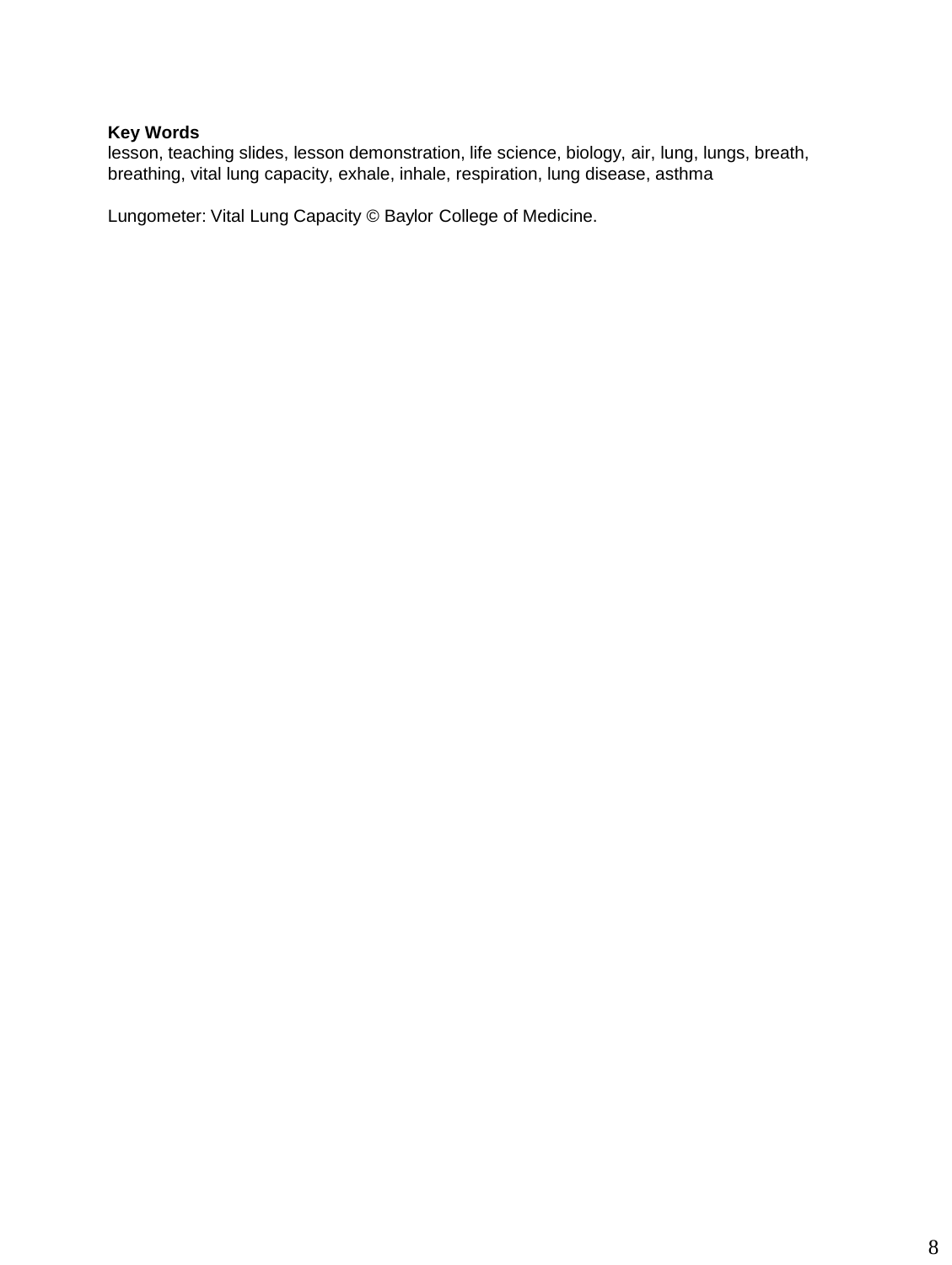# **Key Words**

lesson, teaching slides, lesson demonstration, life science, biology, air, lung, lungs, breath, breathing, vital lung capacity, exhale, inhale, respiration, lung disease, asthma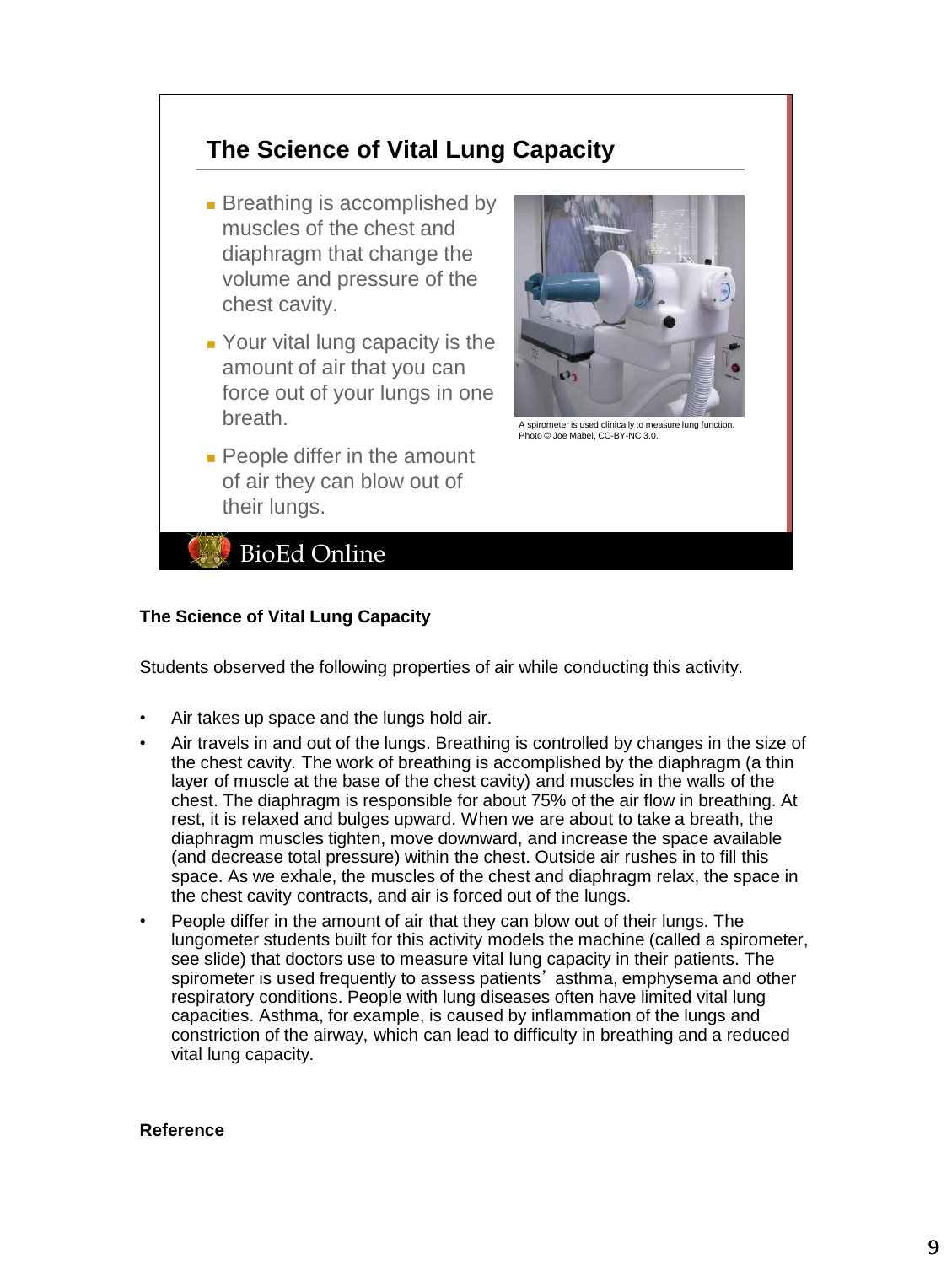# **The Science of Vital Lung Capacity**

- Breathing is accomplished by muscles of the chest and diaphragm that change the volume and pressure of the chest cavity.
- Your vital lung capacity is the amount of air that you can force out of your lungs in one breath.
- People differ in the amount of air they can blow out of their lungs.



A spirometer is used clinically to measure lung function. Photo © Joe Mabel, CC-BY-NC 3.0.

**BioEd Online** 

# **The Science of Vital Lung Capacity**

Students observed the following properties of air while conducting this activity.

- Air takes up space and the lungs hold air.
- Air travels in and out of the lungs. Breathing is controlled by changes in the size of the chest cavity. The work of breathing is accomplished by the diaphragm (a thin layer of muscle at the base of the chest cavity) and muscles in the walls of the chest. The diaphragm is responsible for about 75% of the air flow in breathing. At rest, it is relaxed and bulges upward. When we are about to take a breath, the diaphragm muscles tighten, move downward, and increase the space available (and decrease total pressure) within the chest. Outside air rushes in to fill this space. As we exhale, the muscles of the chest and diaphragm relax, the space in the chest cavity contracts, and air is forced out of the lungs.
- People differ in the amount of air that they can blow out of their lungs. The lungometer students built for this activity models the machine (called a spirometer, see slide) that doctors use to measure vital lung capacity in their patients. The spirometer is used frequently to assess patients' asthma, emphysema and other respiratory conditions. People with lung diseases often have limited vital lung capacities. Asthma, for example, is caused by inflammation of the lungs and constriction of the airway, which can lead to difficulty in breathing and a reduced vital lung capacity.

#### **Reference**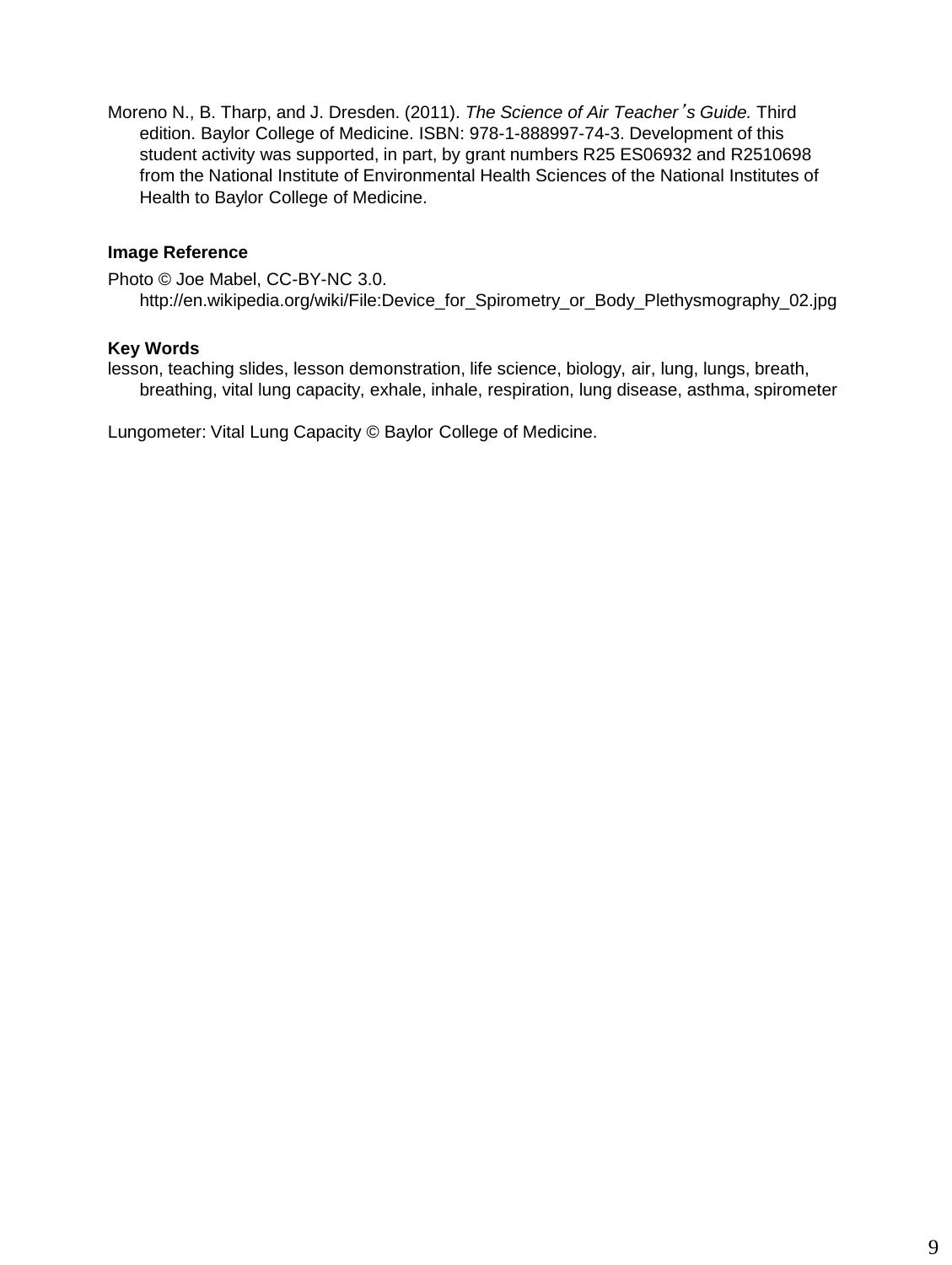Moreno N., B. Tharp, and J. Dresden. (2011). *The Science of Air Teacher*'*s Guide.* Third edition. Baylor College of Medicine. ISBN: 978-1-888997-74-3. Development of this student activity was supported, in part, by grant numbers R25 ES06932 and R2510698 from the National Institute of Environmental Health Sciences of the National Institutes of Health to Baylor College of Medicine.

## **Image Reference**

Photo © Joe Mabel, CC-BY-NC 3.0. http://en.wikipedia.org/wiki/File:Device\_for\_Spirometry\_or\_Body\_Plethysmography\_02.jpg

### **Key Words**

lesson, teaching slides, lesson demonstration, life science, biology, air, lung, lungs, breath, breathing, vital lung capacity, exhale, inhale, respiration, lung disease, asthma, spirometer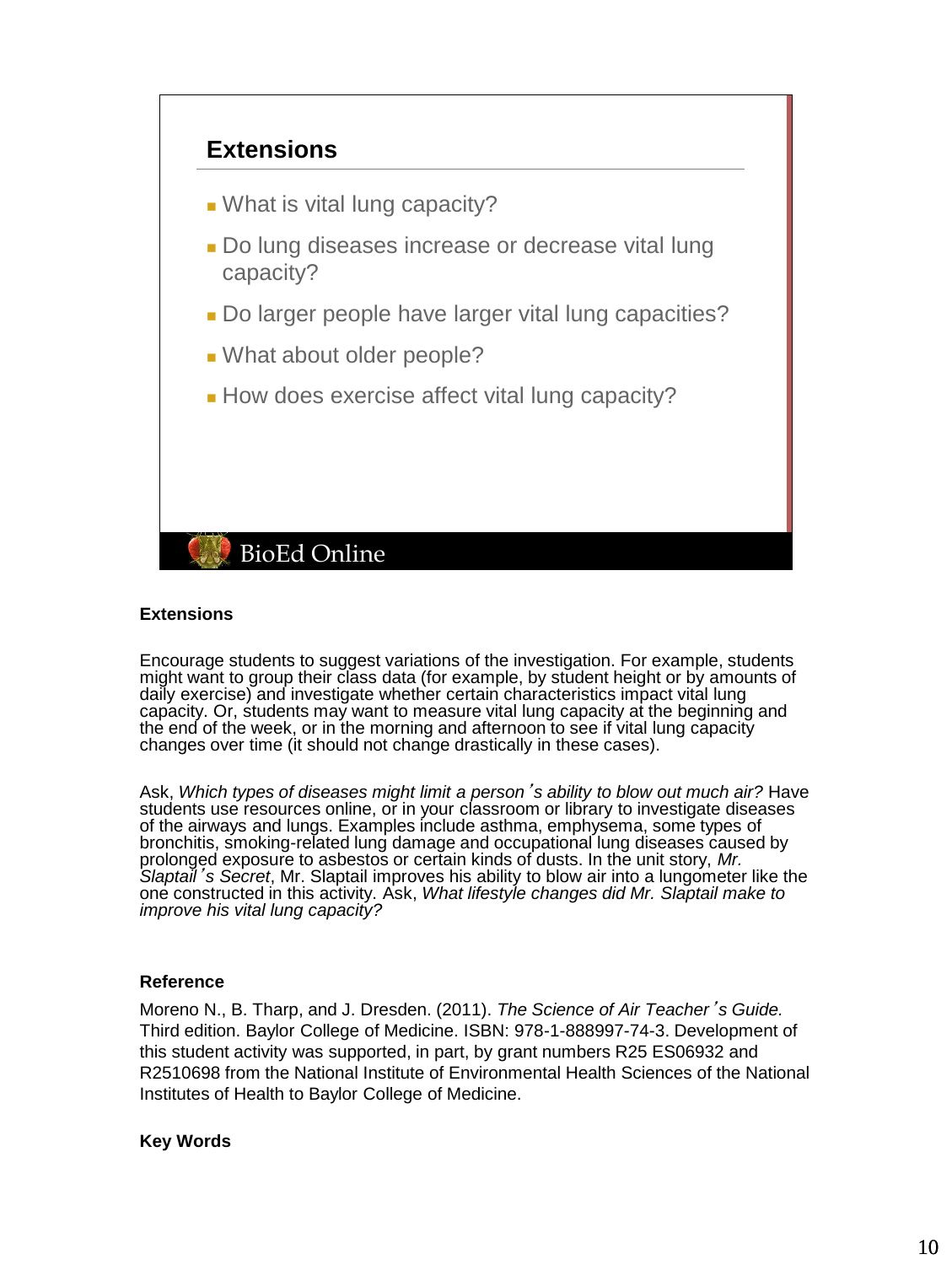

### **Extensions**

Encourage students to suggest variations of the investigation. For example, students might want to group their class data (for example, by student height or by amounts of daily exercise) and investigate whether certain characteristics impact vital lung capacity. Or, students may want to measure vital lung capacity at the beginning and the end of the week, or in the morning and afternoon to see if vital lung capacity changes over time (it should not change drastically in these cases).

Ask, *Which types of diseases might limit a person*'*s ability to blow out much air?* Have students use resources online, or in your classroom or library to investigate diseases of the airways and lungs. Examples include asthma, emphysema, some types of bronchitis, smoking-related lung damage and occupational lung diseases caused by prolonged exposure to asbestos or certain kinds of dusts. In the unit story, *Mr. Slaptail*'*s Secret*, Mr. Slaptail improves his ability to blow air into a lungometer like the one constructed in this activity. Ask, *What lifestyle changes did Mr. Slaptail make to improve his vital lung capacity?*

## **Reference**

Moreno N., B. Tharp, and J. Dresden. (2011). *The Science of Air Teacher*'*s Guide.* Third edition. Baylor College of Medicine. ISBN: 978-1-888997-74-3. Development of this student activity was supported, in part, by grant numbers R25 ES06932 and R2510698 from the National Institute of Environmental Health Sciences of the National Institutes of Health to Baylor College of Medicine.

## **Key Words**